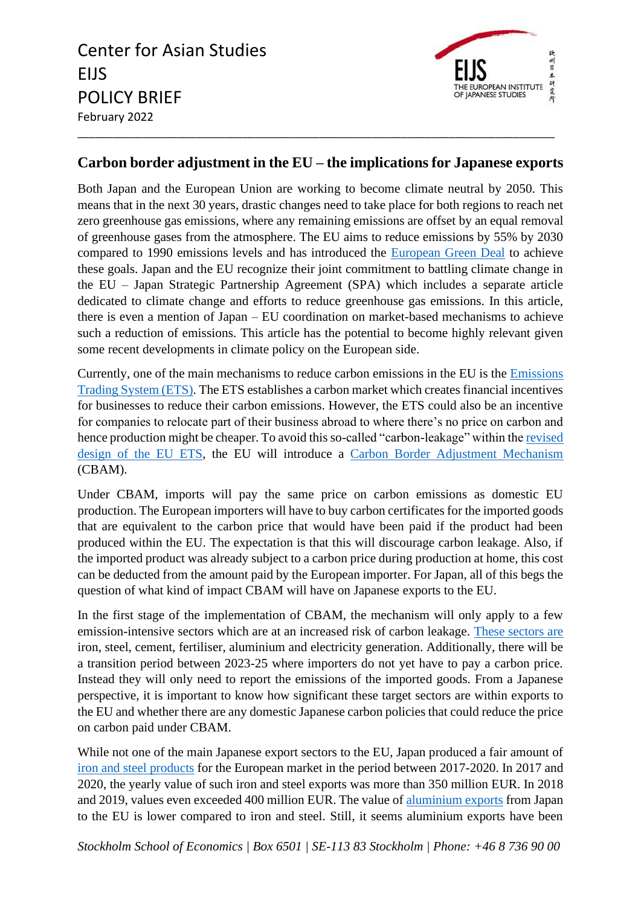Center for Asian Studies EIJS POLICY BRIEF February 2022 \_\_\_\_\_\_\_\_\_\_\_\_\_\_\_\_\_\_\_\_\_\_\_\_\_\_\_\_\_\_\_\_\_\_\_\_\_\_\_\_\_\_\_\_\_\_\_\_\_\_\_\_\_\_\_\_\_\_\_\_\_\_\_\_\_\_\_\_\_\_\_\_\_\_\_\_\_\_\_\_\_



## **Carbon border adjustment in the EU – the implications for Japanese exports**

Both Japan and the European Union are working to become climate neutral by 2050. This means that in the next 30 years, drastic changes need to take place for both regions to reach net zero greenhouse gas emissions, where any remaining emissions are offset by an equal removal of greenhouse gases from the atmosphere. The EU aims to reduce emissions by 55% by 2030 compared to 1990 emissions levels and has introduced the [European Green Deal](https://ec.europa.eu/info/strategy/priorities-2019-2024/european-green-deal_en) to achieve these goals. Japan and the EU recognize their joint commitment to battling climate change in the EU – Japan Strategic Partnership Agreement (SPA) which includes a separate article dedicated to climate change and efforts to reduce greenhouse gas emissions. In this article, there is even a mention of Japan – EU coordination on market-based mechanisms to achieve such a reduction of emissions. This article has the potential to become highly relevant given some recent developments in climate policy on the European side.

Currently, one of the main mechanisms to reduce carbon emissions in the EU is the [Emissions](https://ec.europa.eu/clima/eu-action/eu-emissions-trading-system-eu-ets_en)  [Trading System \(ETS\).](https://ec.europa.eu/clima/eu-action/eu-emissions-trading-system-eu-ets_en) The ETS establishes a carbon market which creates financial incentives for businesses to reduce their carbon emissions. However, the ETS could also be an incentive for companies to relocate part of their business abroad to where there's no price on carbon and hence production might be cheaper. To avoid this so-called "carbon-leakage" within th[e revised](https://ec.europa.eu/clima/eu-action/eu-emissions-trading-system-eu-ets/revision-phase-4-2021-2030_en)  [design of the EU ETS,](https://ec.europa.eu/clima/eu-action/eu-emissions-trading-system-eu-ets/revision-phase-4-2021-2030_en) the EU will introduce a [Carbon Border Adjustment Mechanism](https://ec.europa.eu/commission/presscorner/detail/en/qanda_21_3661) (CBAM).

Under CBAM, imports will pay the same price on carbon emissions as domestic EU production. The European importers will have to buy carbon certificates for the imported goods that are equivalent to the carbon price that would have been paid if the product had been produced within the EU. The expectation is that this will discourage carbon leakage. Also, if the imported product was already subject to a carbon price during production at home, this cost can be deducted from the amount paid by the European importer. For Japan, all of this begs the question of what kind of impact CBAM will have on Japanese exports to the EU.

In the first stage of the implementation of CBAM, the mechanism will only apply to a few emission-intensive sectors which are at an increased risk of carbon leakage. [These sectors are](https://ec.europa.eu/commission/presscorner/detail/en/qanda_21_3661) iron, steel, cement, fertiliser, aluminium and electricity generation. Additionally, there will be a transition period between 2023-25 where importers do not yet have to pay a carbon price. Instead they will only need to report the emissions of the imported goods. From a Japanese perspective, it is important to know how significant these target sectors are within exports to the EU and whether there are any domestic Japanese carbon policies that could reduce the price on carbon paid under CBAM.

While not one of the main Japanese export sectors to the EU, Japan produced a fair amount of [iron and steel products](https://ec.europa.eu/eurostat/web/international-trade-in-goods/data/database) for the European market in the period between 2017-2020. In 2017 and 2020, the yearly value of such iron and steel exports was more than 350 million EUR. In 2018 and 2019, values even exceeded 400 million EUR. The value of [aluminium exports](https://ec.europa.eu/eurostat/web/international-trade-in-goods/data/database) from Japan to the EU is lower compared to iron and steel. Still, it seems aluminium exports have been

*Stockholm School of Economics | Box 6501 | SE-113 83 Stockholm | Phone: +46 8 736 90 00*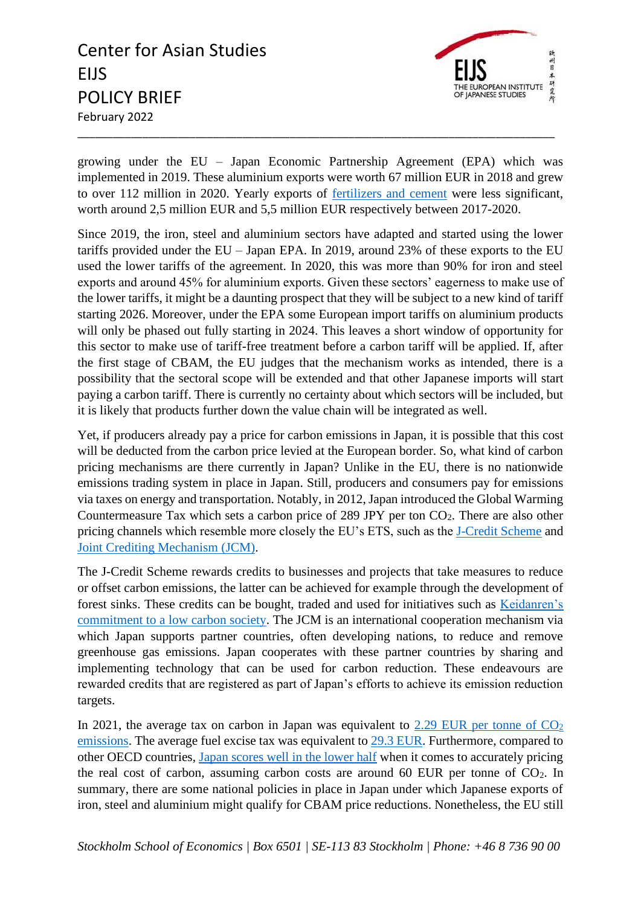## Center for Asian Studies EIJS POLICY BRIEF February 2022 \_\_\_\_\_\_\_\_\_\_\_\_\_\_\_\_\_\_\_\_\_\_\_\_\_\_\_\_\_\_\_\_\_\_\_\_\_\_\_\_\_\_\_\_\_\_\_\_\_\_\_\_\_\_\_\_\_\_\_\_\_\_\_\_\_\_\_\_\_\_\_\_\_\_\_\_\_\_\_\_\_



growing under the EU – Japan Economic Partnership Agreement (EPA) which was implemented in 2019. These aluminium exports were worth 67 million EUR in 2018 and grew to over 112 million in 2020. Yearly exports of [fertilizers and cement](https://ec.europa.eu/eurostat/web/international-trade-in-goods/data/database) were less significant, worth around 2,5 million EUR and 5,5 million EUR respectively between 2017-2020.

Since 2019, the iron, steel and aluminium sectors have adapted and started using the lower tariffs provided under the EU – Japan EPA. In 2019, around 23% of these exports to the EU used the lower tariffs of the agreement. In 2020, this was more than 90% for iron and steel exports and around 45% for aluminium exports. Given these sectors' eagerness to make use of the lower tariffs, it might be a daunting prospect that they will be subject to a new kind of tariff starting 2026. Moreover, under the EPA some European import tariffs on aluminium products will only be phased out fully starting in 2024. This leaves a short window of opportunity for this sector to make use of tariff-free treatment before a carbon tariff will be applied. If, after the first stage of CBAM, the EU judges that the mechanism works as intended, there is a possibility that the sectoral scope will be extended and that other Japanese imports will start paying a carbon tariff. There is currently no certainty about which sectors will be included, but it is likely that products further down the value chain will be integrated as well.

Yet, if producers already pay a price for carbon emissions in Japan, it is possible that this cost will be deducted from the carbon price levied at the European border. So, what kind of carbon pricing mechanisms are there currently in Japan? Unlike in the EU, there is no nationwide emissions trading system in place in Japan. Still, producers and consumers pay for emissions via taxes on energy and transportation. Notably, in 2012, Japan introduced the Global Warming Countermeasure Tax which sets a carbon price of 289 JPY per ton  $CO<sub>2</sub>$ . There are also other pricing channels which resemble more closely the EU's ETS, such as the [J-Credit Scheme](https://japancredit.go.jp/english/) and [Joint Crediting Mechanism \(JCM\).](https://www.mofa.go.jp/ic/ch/page1we_000105.html)

The J-Credit Scheme rewards credits to businesses and projects that take measures to reduce or offset carbon emissions, the latter can be achieved for example through the development of forest sinks. These credits can be bought, traded and used for initiatives such as [Keidanren's](https://www.keidanren.or.jp/en/policy/2018/101.html)  [commitment to a low carbon society.](https://www.keidanren.or.jp/en/policy/2018/101.html) The JCM is an international cooperation mechanism via which Japan supports partner countries, often developing nations, to reduce and remove greenhouse gas emissions. Japan cooperates with these partner countries by sharing and implementing technology that can be used for carbon reduction. These endeavours are rewarded credits that are registered as part of Japan's efforts to achieve its emission reduction targets.

In 2021, the average tax on carbon in Japan was equivalent to  $2.29$  EUR per tonne of  $CO<sub>2</sub>$ [emissions.](https://www.oecd.org/tax/tax-policy/carbon-pricing-japan.pdf) The average fuel excise tax was equivalent to [29.3 EUR.](https://www.oecd.org/tax/tax-policy/carbon-pricing-japan.pdf) Furthermore, compared to other OECD countries, [Japan scores well in the lower half](https://stats.oecd.org/Index.aspx?DataSetCode=ECR) when it comes to accurately pricing the real cost of carbon, assuming carbon costs are around 60 EUR per tonne of  $CO<sub>2</sub>$ . In summary, there are some national policies in place in Japan under which Japanese exports of iron, steel and aluminium might qualify for CBAM price reductions. Nonetheless, the EU still